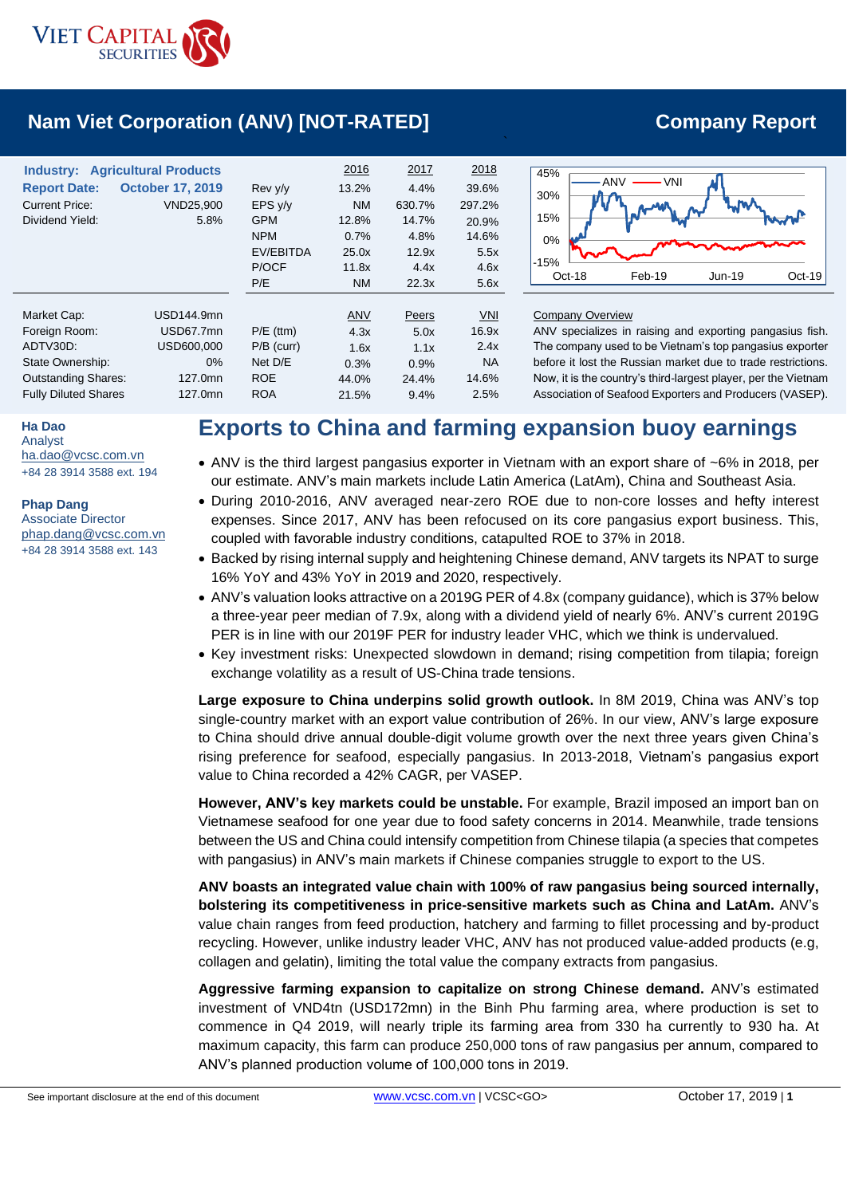

# **Nam Viet Corporation (ANV) [NOT-RATED] Company Report**

| <b>Industry: Agricultural Products</b><br><b>Report Date:</b><br><b>Current Price:</b><br>Dividend Yield: | <b>October 17, 2019</b><br>VND25,900<br>5.8% | Rev y/y<br>EPS y/y<br><b>GPM</b><br><b>NPM</b><br>EV/EBITDA<br>P/OCF<br>P/E | 2016<br>13.2%<br><b>NM</b><br>12.8%<br>0.7%<br>25.0x<br>11.8x<br><b>NM</b> | 2017<br>4.4%<br>630.7%<br>14.7%<br>4.8%<br>12.9x<br>4.4x<br>22.3x | 2018<br>39.6%<br>297.2%<br>20.9%<br>14.6%<br>5.5x<br>4.6x<br>5.6x | 45%<br>• VNI<br><b>ANV</b><br>30%<br>15%<br>0%<br>$-15%$<br>Feb-19<br>Oct-18<br>Jun-19<br>Oct-19 |
|-----------------------------------------------------------------------------------------------------------|----------------------------------------------|-----------------------------------------------------------------------------|----------------------------------------------------------------------------|-------------------------------------------------------------------|-------------------------------------------------------------------|--------------------------------------------------------------------------------------------------|
| Market Cap:<br>Foreign Room:                                                                              | USD144.9mn<br>USD67.7mn                      | $P/E$ (ttm)                                                                 | ANV<br>4.3x                                                                | Peers<br>5.0x                                                     | <b>VNI</b><br>16.9x                                               | <b>Company Overview</b><br>ANV specializes in raising and exporting pangasius fish.              |
| ADTV30D:                                                                                                  | USD600,000                                   | $P/B$ (curr)                                                                | 1.6x                                                                       | 1.1x                                                              | 2.4x                                                              | The company used to be Vietnam's top pangasius exporter                                          |
| State Ownership:                                                                                          | $0\%$                                        | Net D/E                                                                     | 0.3%                                                                       | 0.9%                                                              | <b>NA</b>                                                         | before it lost the Russian market due to trade restrictions.                                     |
| <b>Outstanding Shares:</b>                                                                                | 127.0mn                                      | <b>ROE</b>                                                                  | 44.0%                                                                      | 24.4%                                                             | 14.6%                                                             | Now, it is the country's third-largest player, per the Vietnam                                   |
| <b>Fully Diluted Shares</b>                                                                               | 127.0mn                                      | <b>ROA</b>                                                                  | 21.5%                                                                      | 9.4%                                                              | 2.5%                                                              | Association of Seafood Exporters and Producers (VASEP).                                          |

**Ha Dao**

Analyst [ha.dao@vcsc.com.vn](mailto:ha.dao@vcsc.com.vn) +84 28 3914 3588 ext. 194

### **Phap Dang**

Associate Director [phap.dang@vcsc.com.vn](mailto:phap.dang@vcsc.com.vn) +84 28 3914 3588 ext. 143

# **Exports to China and farming expansion buoy earnings**

- ANV is the third largest pangasius exporter in Vietnam with an export share of ~6% in 2018, per our estimate. ANV's main markets include Latin America (LatAm), China and Southeast Asia.
- During 2010-2016, ANV averaged near-zero ROE due to non-core losses and hefty interest expenses. Since 2017, ANV has been refocused on its core pangasius export business. This, coupled with favorable industry conditions, catapulted ROE to 37% in 2018.
- Backed by rising internal supply and heightening Chinese demand, ANV targets its NPAT to surge 16% YoY and 43% YoY in 2019 and 2020, respectively.
- ANV's valuation looks attractive on a 2019G PER of 4.8x (company guidance), which is 37% below a three-year peer median of 7.9x, along with a dividend yield of nearly 6%. ANV's current 2019G PER is in line with our 2019F PER for industry leader VHC, which we think is undervalued.
- Key investment risks: Unexpected slowdown in demand; rising competition from tilapia; foreign exchange volatility as a result of US-China trade tensions.

**Large exposure to China underpins solid growth outlook.** In 8M 2019, China was ANV's top single-country market with an export value contribution of 26%. In our view, ANV's large exposure to China should drive annual double-digit volume growth over the next three years given China's rising preference for seafood, especially pangasius. In 2013-2018, Vietnam's pangasius export value to China recorded a 42% CAGR, per VASEP.

**However, ANV's key markets could be unstable.** For example, Brazil imposed an import ban on Vietnamese seafood for one year due to food safety concerns in 2014. Meanwhile, trade tensions between the US and China could intensify competition from Chinese tilapia (a species that competes with pangasius) in ANV's main markets if Chinese companies struggle to export to the US.

**ANV boasts an integrated value chain with 100% of raw pangasius being sourced internally, bolstering its competitiveness in price-sensitive markets such as China and LatAm.** ANV's value chain ranges from feed production, hatchery and farming to fillet processing and by-product recycling. However, unlike industry leader VHC, ANV has not produced value-added products (e.g, collagen and gelatin), limiting the total value the company extracts from pangasius.

**Aggressive farming expansion to capitalize on strong Chinese demand.** ANV's estimated investment of VND4tn (USD172mn) in the Binh Phu farming area, where production is set to commence in Q4 2019, will nearly triple its farming area from 330 ha currently to 930 ha. At maximum capacity, this farm can produce 250,000 tons of raw pangasius per annum, compared to ANV's planned production volume of 100,000 tons in 2019.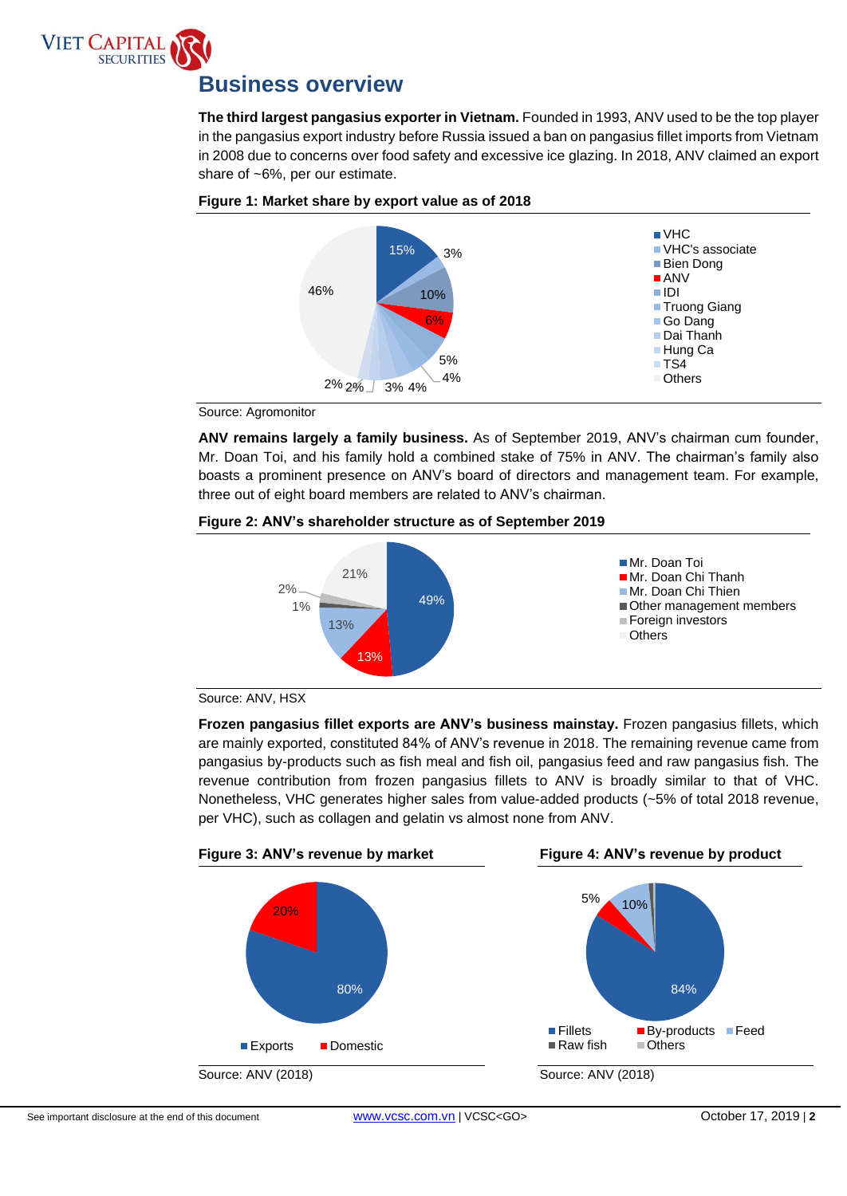

# **Business overview**

The third largest pangasius exporter in Vietnam. Founded in 1993, ANV used to be the top player<br>in the pangasius export industry before Russia issued a ban on pangasius fillet imports from Vietnam **The third largest pangasius exporter in Vietnam.** Founded in 1993, ANV used to be the top player in 2008 due to concerns over food safety and excessive ice glazing. In 2018, ANV claimed an export share of ~6%, per our estimate.



## **Figure 1: Market share by export value as of 2018**

Source: Agromonitor

**ANV remains largely a family business.** As of September 2019, ANV's chairman cum founder, Mr. Doan Toi, and his family hold a combined stake of 75% in ANV. The chairman's family also boasts a prominent presence on ANV's board of directors and management team. For example, three out of eight board members are related to ANV's chairman.

# **Figure 2: ANV's shareholder structure as of September 2019**





**Frozen pangasius fillet exports are ANV's business mainstay.** Frozen pangasius fillets, which are mainly exported, constituted 84% of ANV's revenue in 2018. The remaining revenue came from pangasius by-products such as fish meal and fish oil, pangasius feed and raw pangasius fish. The revenue contribution from frozen pangasius fillets to ANV is broadly similar to that of VHC. Nonetheless, VHC generates higher sales from value-added products (~5% of total 2018 revenue, per VHC), such as collagen and gelatin vs almost none from ANV.

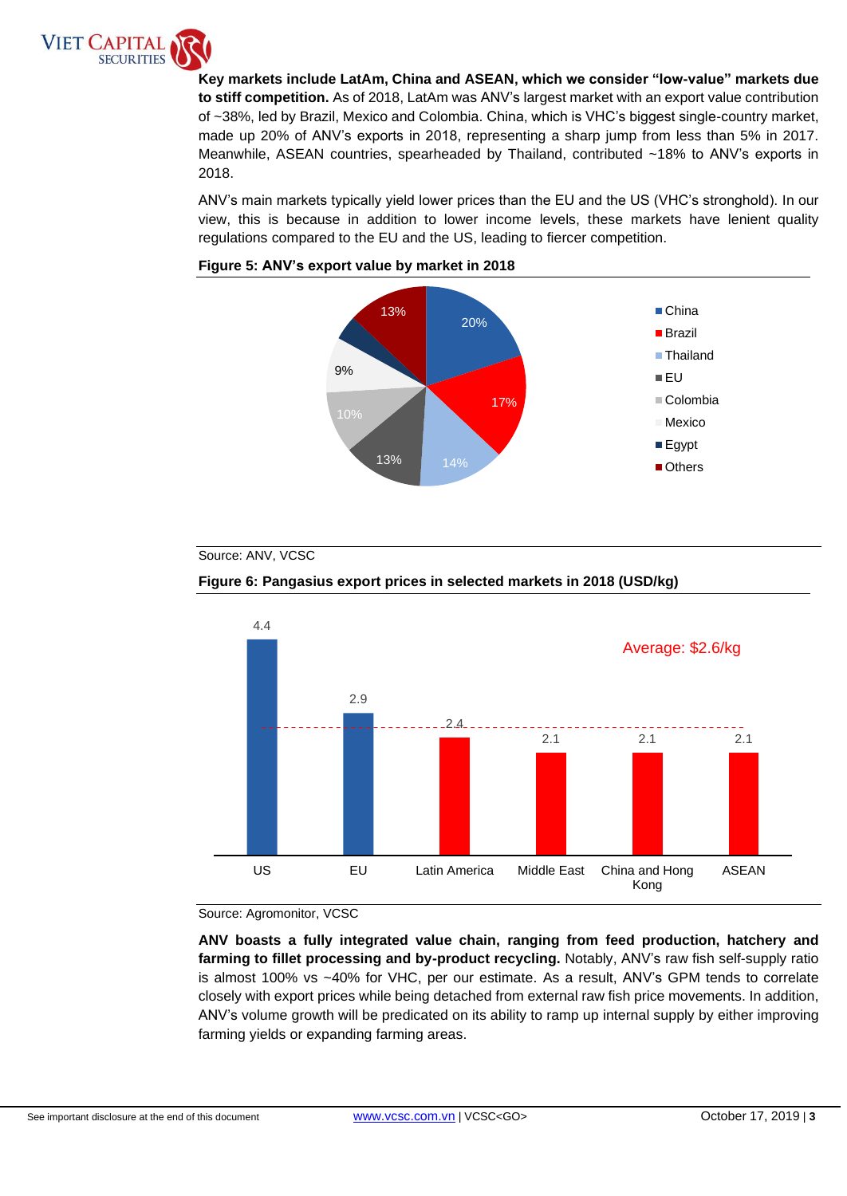

or ~50%, red by Brazil, mexico and Colombia. China, which is virc s biggest single-coditity market,<br>made up 20% of ANV's exports in 2018, representing a sharp jump from less than 5% in 2017. **Key markets include LatAm, China and ASEAN, which we consider "low-value" markets due to stiff competition.** As of 2018, LatAm was ANV's largest market with an export value contribution of ~38%, led by Brazil, Mexico and Colombia. China, which is VHC's biggest single-country market, Meanwhile, ASEAN countries, spearheaded by Thailand, contributed ~18% to ANV's exports in 2018.

ANV's main markets typically yield lower prices than the EU and the US (VHC's stronghold). In our view, this is because in addition to lower income levels, these markets have lenient quality regulations compared to the EU and the US, leading to fiercer competition.





## Source: ANV, VCSC







**ANV boasts a fully integrated value chain, ranging from feed production, hatchery and farming to fillet processing and by-product recycling.** Notably, ANV's raw fish self-supply ratio is almost 100% vs ~40% for VHC, per our estimate. As a result, ANV's GPM tends to correlate closely with export prices while being detached from external raw fish price movements. In addition, ANV's volume growth will be predicated on its ability to ramp up internal supply by either improving farming yields or expanding farming areas.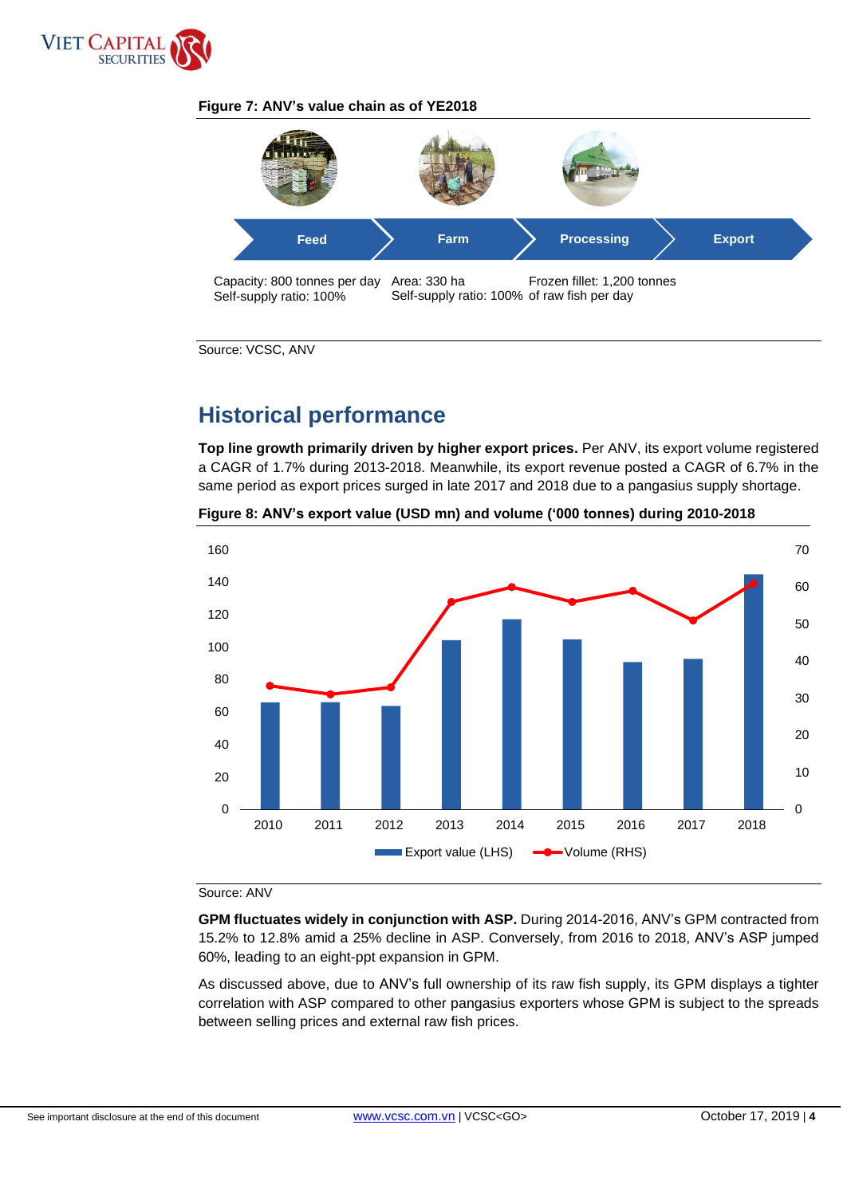

# **Figure 7: ANV's value chain as of YE2018**



Source: VCSC, ANV

# **Historical performance**

**Top line growth primarily driven by higher export prices.** Per ANV, its export volume registered a CAGR of 1.7% during 2013-2018. Meanwhile, its export revenue posted a CAGR of 6.7% in the same period as export prices surged in late 2017 and 2018 due to a pangasius supply shortage.



**Figure 8: ANV's export value (USD mn) and volume ('000 tonnes) during 2010-2018**

### Source: ANV

**GPM fluctuates widely in conjunction with ASP.** During 2014-2016, ANV's GPM contracted from 15.2% to 12.8% amid a 25% decline in ASP. Conversely, from 2016 to 2018, ANV's ASP jumped 60%, leading to an eight-ppt expansion in GPM.

As discussed above, due to ANV's full ownership of its raw fish supply, its GPM displays a tighter correlation with ASP compared to other pangasius exporters whose GPM is subject to the spreads between selling prices and external raw fish prices.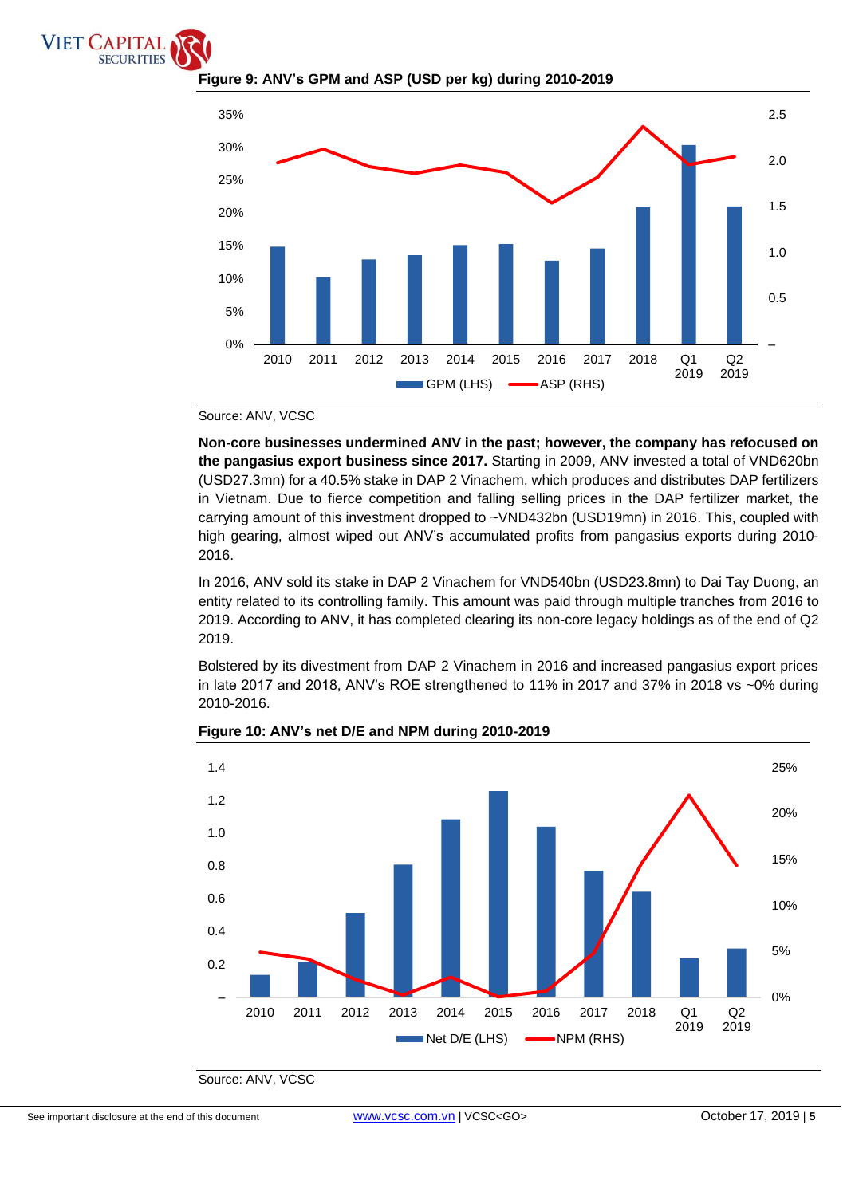



# **Figure 9: ANV's GPM and ASP (USD per kg) during 2010-2019**

## Source: ANV, VCSC

**Non-core businesses undermined ANV in the past; however, the company has refocused on the pangasius export business since 2017.** Starting in 2009, ANV invested a total of VND620bn (USD27.3mn) for a 40.5% stake in DAP 2 Vinachem, which produces and distributes DAP fertilizers in Vietnam. Due to fierce competition and falling selling prices in the DAP fertilizer market, the carrying amount of this investment dropped to ~VND432bn (USD19mn) in 2016. This, coupled with high gearing, almost wiped out ANV's accumulated profits from pangasius exports during 2010- 2016.

In 2016, ANV sold its stake in DAP 2 Vinachem for VND540bn (USD23.8mn) to Dai Tay Duong, an entity related to its controlling family. This amount was paid through multiple tranches from 2016 to 2019. According to ANV, it has completed clearing its non-core legacy holdings as of the end of Q2 2019.

Bolstered by its divestment from DAP 2 Vinachem in 2016 and increased pangasius export prices in late 2017 and 2018, ANV's ROE strengthened to 11% in 2017 and 37% in 2018 vs ~0% during 2010-2016.



## **Figure 10: ANV's net D/E and NPM during 2010-2019**

Source: ANV, VCSC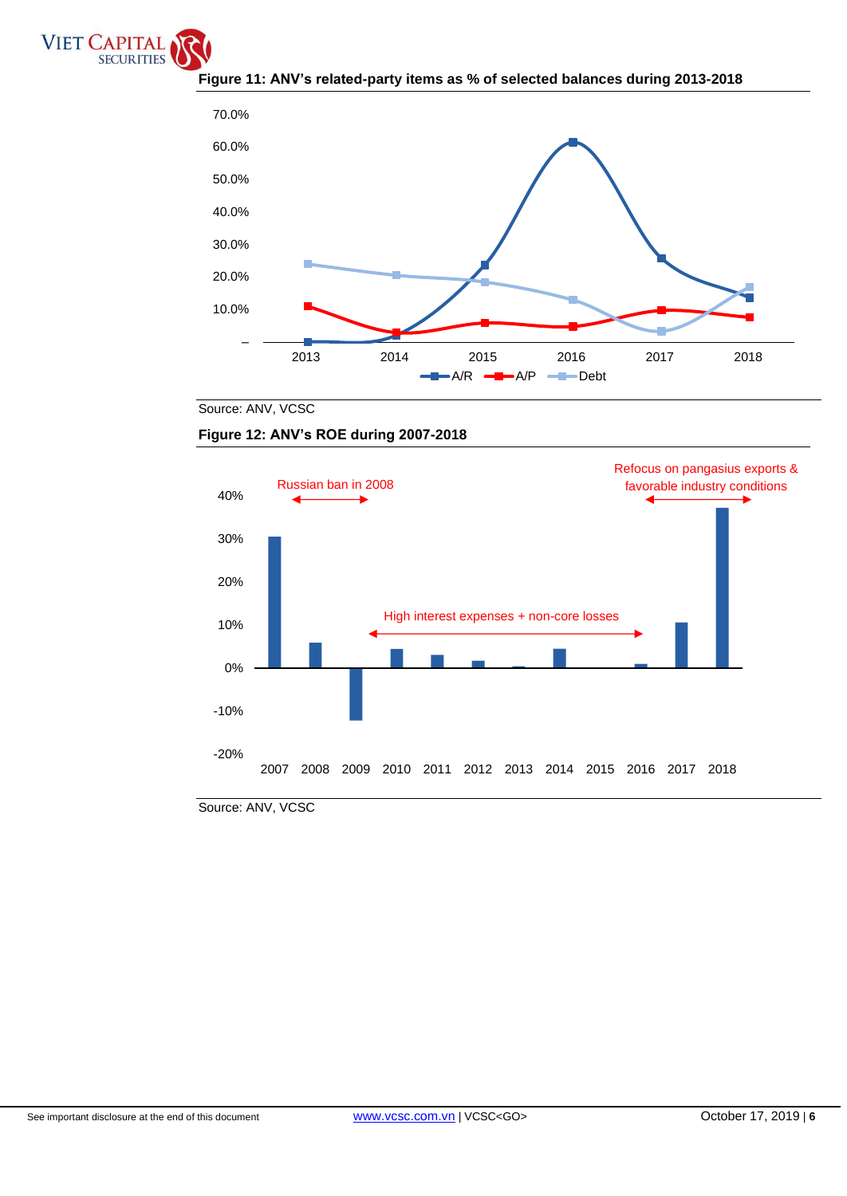





Source: ANV, VCSC





Source: ANV, VCSC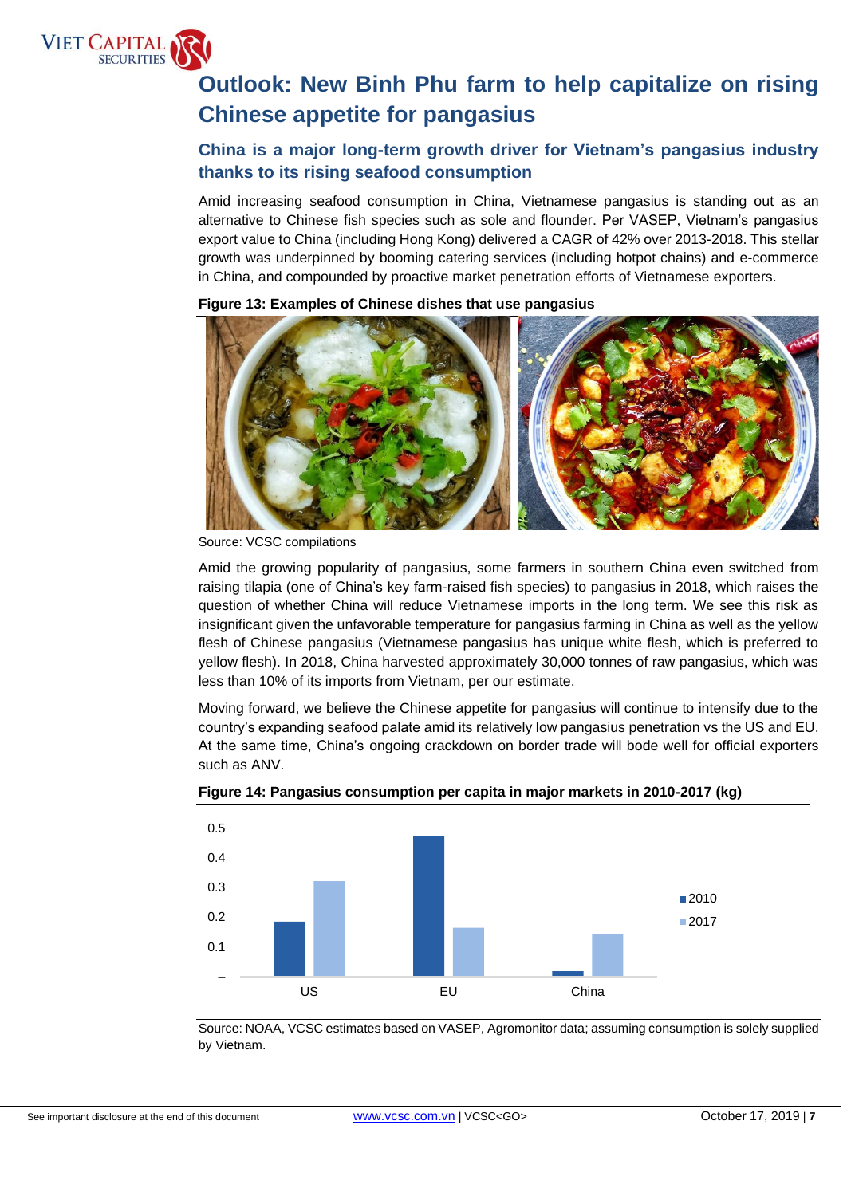

# **Outlook: New Binh Phu farm to help capitalize on rising Chinese appetite for pangasius**

# **China is a major long-term growth driver for Vietnam's pangasius industry thanks to its rising seafood consumption**

Amid increasing seafood consumption in China, Vietnamese pangasius is standing out as an alternative to Chinese fish species such as sole and flounder. Per VASEP, Vietnam's pangasius export value to China (including Hong Kong) delivered a CAGR of 42% over 2013-2018. This stellar growth was underpinned by booming catering services (including hotpot chains) and e-commerce in China, and compounded by proactive market penetration efforts of Vietnamese exporters.

**Figure 13: Examples of Chinese dishes that use pangasius**

Amid the growing popularity of pangasius, some farmers in southern China even switched from raising tilapia (one of China's key farm-raised fish species) to pangasius in 2018, which raises the question of whether China will reduce Vietnamese imports in the long term. We see this risk as insignificant given the unfavorable temperature for pangasius farming in China as well as the yellow flesh of Chinese pangasius (Vietnamese pangasius has unique white flesh, which is preferred to yellow flesh). In 2018, China harvested approximately 30,000 tonnes of raw pangasius, which was less than 10% of its imports from Vietnam, per our estimate.

Moving forward, we believe the Chinese appetite for pangasius will continue to intensify due to the country's expanding seafood palate amid its relatively low pangasius penetration vs the US and EU. At the same time, China's ongoing crackdown on border trade will bode well for official exporters such as ANV.



**Figure 14: Pangasius consumption per capita in major markets in 2010-2017 (kg)**

Source: NOAA, VCSC estimates based on VASEP, Agromonitor data; assuming consumption is solely supplied by Vietnam.

Source: VCSC compilations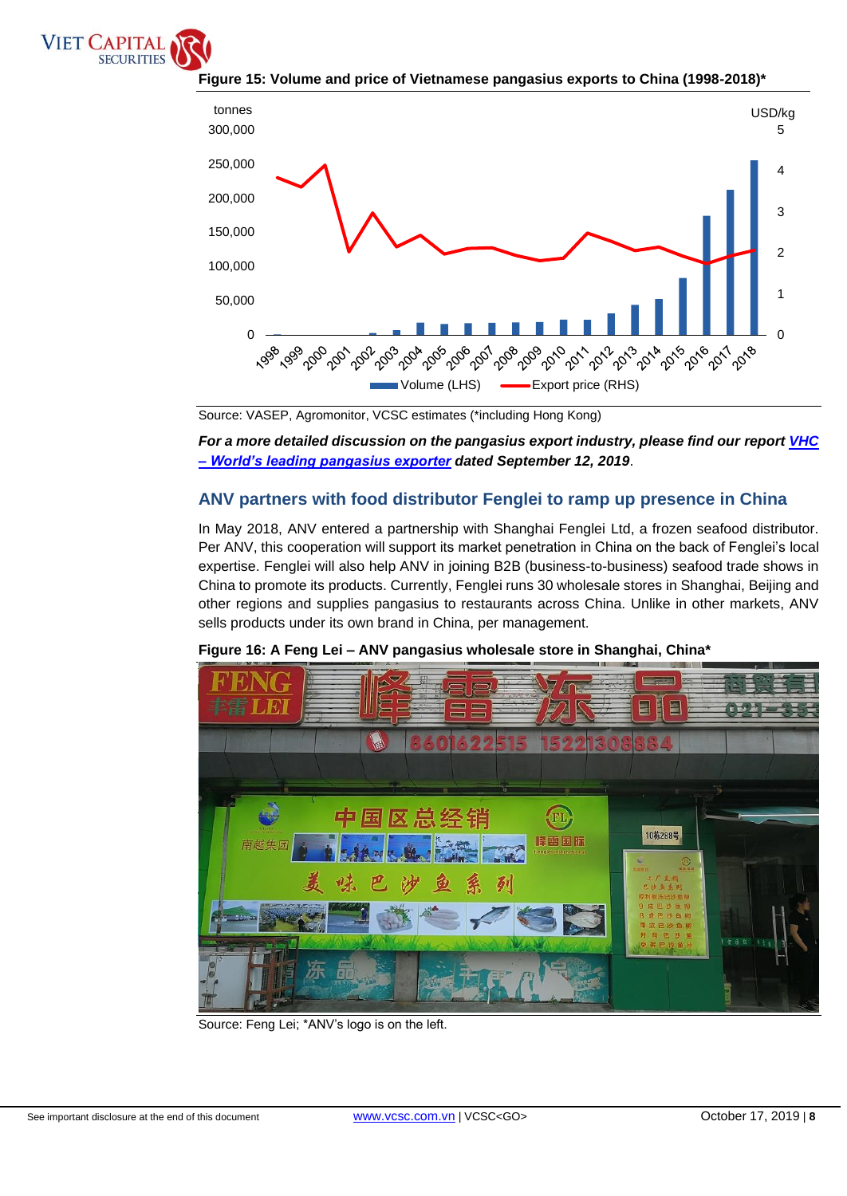



**Figure 15: Volume and price of Vietnamese pangasius exports to China (1998-2018)\***

*For a more detailed discussion on the pangasius export industry, please find our report [VHC](https://www.vcsc.com.vn/reading-book/vhc-buy--34.9---worlds-leading-pangasius-fish-exporter---initiation/268182)  – [World's leading pangasius exporter](https://www.vcsc.com.vn/reading-book/vhc-buy--34.9---worlds-leading-pangasius-fish-exporter---initiation/268182) dated September 12, 2019*.

# **ANV partners with food distributor Fenglei to ramp up presence in China**

In May 2018, ANV entered a partnership with Shanghai Fenglei Ltd, a frozen seafood distributor. Per ANV, this cooperation will support its market penetration in China on the back of Fenglei's local expertise. Fenglei will also help ANV in joining B2B (business-to-business) seafood trade shows in China to promote its products. Currently, Fenglei runs 30 wholesale stores in Shanghai, Beijing and other regions and supplies pangasius to restaurants across China. Unlike in other markets, ANV sells products under its own brand in China, per management.



**Figure 16: A Feng Lei – ANV pangasius wholesale store in Shanghai, China\***

Source: Feng Lei; \*ANV's logo is on the left.

Source: VASEP, Agromonitor, VCSC estimates (\*including Hong Kong)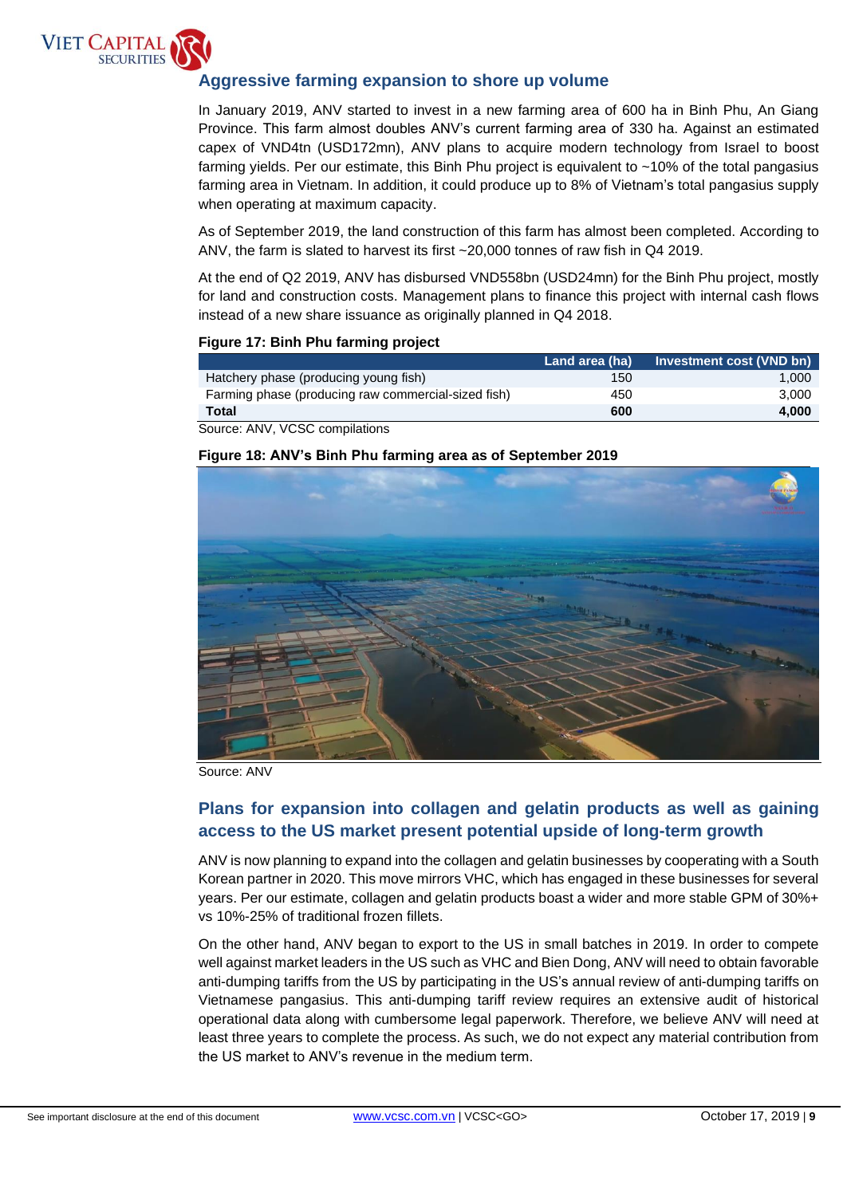

# **Aggressive farming expansion to shore up volume**

Province. This farm almost doubles ANV's current farming area of 330 ha. Against an estimated In January 2019, ANV started to invest in a new farming area of 600 ha in Binh Phu, An Giang capex of VND4tn (USD172mn), ANV plans to acquire modern technology from Israel to boost farming yields. Per our estimate, this Binh Phu project is equivalent to ~10% of the total pangasius farming area in Vietnam. In addition, it could produce up to 8% of Vietnam's total pangasius supply when operating at maximum capacity.

As of September 2019, the land construction of this farm has almost been completed. According to ANV, the farm is slated to harvest its first ~20,000 tonnes of raw fish in Q4 2019.

At the end of Q2 2019, ANV has disbursed VND558bn (USD24mn) for the Binh Phu project, mostly for land and construction costs. Management plans to finance this project with internal cash flows instead of a new share issuance as originally planned in Q4 2018.

## **Figure 17: Binh Phu farming project**

|                                                     | Land area (ha) | Investment cost (VND bn) |
|-----------------------------------------------------|----------------|--------------------------|
| Hatchery phase (producing young fish)               | 150            | 1.000                    |
| Farming phase (producing raw commercial-sized fish) | 450            | 3.000                    |
| Total                                               | 600            | 4.000                    |
| Course: ANN/ VCCC semplotions                       |                |                          |

Source: ANV, VCSC compilations

## **Figure 18: ANV's Binh Phu farming area as of September 2019**



Source: ANV

# **Plans for expansion into collagen and gelatin products as well as gaining access to the US market present potential upside of long-term growth**

ANV is now planning to expand into the collagen and gelatin businesses by cooperating with a South Korean partner in 2020. This move mirrors VHC, which has engaged in these businesses for several years. Per our estimate, collagen and gelatin products boast a wider and more stable GPM of 30%+ vs 10%-25% of traditional frozen fillets.

On the other hand, ANV began to export to the US in small batches in 2019. In order to compete well against market leaders in the US such as VHC and Bien Dong, ANV will need to obtain favorable anti-dumping tariffs from the US by participating in the US's annual review of anti-dumping tariffs on Vietnamese pangasius. This anti-dumping tariff review requires an extensive audit of historical operational data along with cumbersome legal paperwork. Therefore, we believe ANV will need at least three years to complete the process. As such, we do not expect any material contribution from the US market to ANV's revenue in the medium term.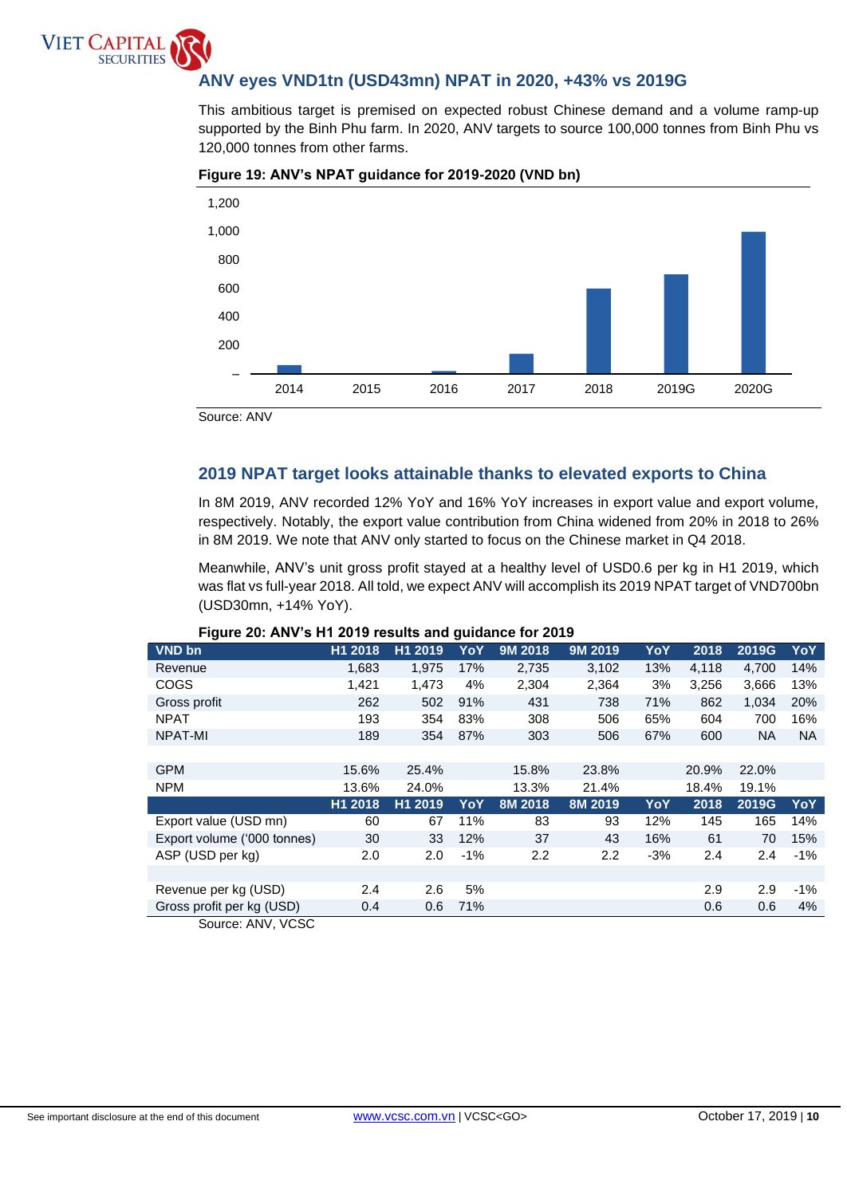# **ANV eyes VND1tn (USD43mn) NPAT in 2020, +43% vs 2019G**

supported by the Binh Phu farm. In 2020, ANV targets to source 100,000 tonnes from Binh Phu vs This ambitious target is premised on expected robust Chinese demand and a volume ramp-up 120,000 tonnes from other farms.



## **Figure 19: ANV's NPAT guidance for 2019-2020 (VND bn)**

Source: ANV

**VIET CAPITA** 

**SECURITIES** 

# **2019 NPAT target looks attainable thanks to elevated exports to China**

In 8M 2019, ANV recorded 12% YoY and 16% YoY increases in export value and export volume, respectively. Notably, the export value contribution from China widened from 20% in 2018 to 26% in 8M 2019. We note that ANV only started to focus on the Chinese market in Q4 2018.

Meanwhile, ANV's unit gross profit stayed at a healthy level of USD0.6 per kg in H1 2019, which was flat vs full-year 2018. All told, we expect ANV will accomplish its 2019 NPAT target of VND700bn (USD30mn, +14% YoY).

| VND bn                      | H1 2018 | H1 2019 | YoY   | 9M 2018 | 9M 2019          | YoY   | 2018  | 2019G | YoY       |
|-----------------------------|---------|---------|-------|---------|------------------|-------|-------|-------|-----------|
| Revenue                     | 1,683   | 1,975   | 17%   | 2,735   | 3,102            | 13%   | 4,118 | 4,700 | 14%       |
| COGS                        | 1,421   | 1,473   | 4%    | 2,304   | 2,364            | 3%    | 3,256 | 3,666 | 13%       |
| Gross profit                | 262     | 502     | 91%   | 431     | 738              | 71%   | 862   | 1,034 | 20%       |
| <b>NPAT</b>                 | 193     | 354     | 83%   | 308     | 506              | 65%   | 604   | 700   | 16%       |
| NPAT-MI                     | 189     | 354     | 87%   | 303     | 506              | 67%   | 600   | NA.   | <b>NA</b> |
|                             |         |         |       |         |                  |       |       |       |           |
| <b>GPM</b>                  | 15.6%   | 25.4%   |       | 15.8%   | 23.8%            |       | 20.9% | 22.0% |           |
| <b>NPM</b>                  | 13.6%   | 24.0%   |       | 13.3%   | 21.4%            |       | 18.4% | 19.1% |           |
|                             | H1 2018 | H1 2019 | YoY   | 8M 2018 | 8M 2019          | YoY   | 2018  | 2019G | YoY       |
| Export value (USD mn)       | 60      | 67      | 11%   | 83      | 93               | 12%   | 145   | 165   | 14%       |
| Export volume ('000 tonnes) | 30      | 33      | 12%   | 37      | 43               | 16%   | 61    | 70    | 15%       |
| ASP (USD per kg)            | 2.0     | 2.0     | $-1%$ | 2.2     | $2.2\phantom{0}$ | $-3%$ | 2.4   | 2.4   | $-1%$     |
|                             |         |         |       |         |                  |       |       |       |           |
| Revenue per kg (USD)        | 2.4     | 2.6     | 5%    |         |                  |       | 2.9   | 2.9   | $-1%$     |
| Gross profit per kg (USD)   | 0.4     | 0.6     | 71%   |         |                  |       | 0.6   | 0.6   | 4%        |
| Source: ANV, VCSC           |         |         |       |         |                  |       |       |       |           |

### **Figure 20: ANV's H1 2019 results and guidance for 2019**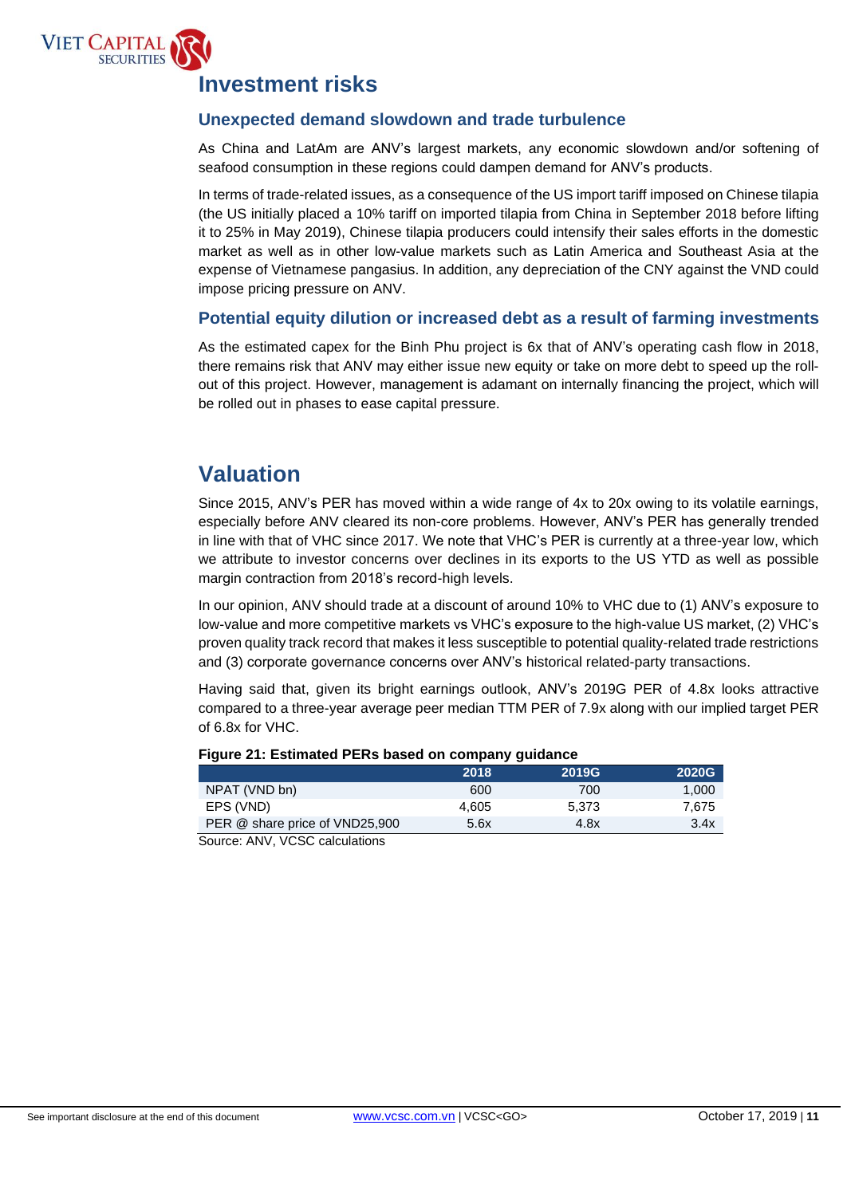

# **Investment risks**

# **Unexpected demand slowdown and trade turbulence**

As China and LatAm are ANV's largest markets, any economic slowdown and/or softening of seafood consumption in these regions could dampen demand for ANV's products.

In terms of trade-related issues, as a consequence of the US import tariff imposed on Chinese tilapia (the US initially placed a 10% tariff on imported tilapia from China in September 2018 before lifting it to 25% in May 2019), Chinese tilapia producers could intensify their sales efforts in the domestic market as well as in other low-value markets such as Latin America and Southeast Asia at the expense of Vietnamese pangasius. In addition, any depreciation of the CNY against the VND could impose pricing pressure on ANV.

# **Potential equity dilution or increased debt as a result of farming investments**

As the estimated capex for the Binh Phu project is 6x that of ANV's operating cash flow in 2018, there remains risk that ANV may either issue new equity or take on more debt to speed up the rollout of this project. However, management is adamant on internally financing the project, which will be rolled out in phases to ease capital pressure.

# **Valuation**

Since 2015, ANV's PER has moved within a wide range of 4x to 20x owing to its volatile earnings, especially before ANV cleared its non-core problems. However, ANV's PER has generally trended in line with that of VHC since 2017. We note that VHC's PER is currently at a three-year low, which we attribute to investor concerns over declines in its exports to the US YTD as well as possible margin contraction from 2018's record-high levels.

In our opinion, ANV should trade at a discount of around 10% to VHC due to (1) ANV's exposure to low-value and more competitive markets vs VHC's exposure to the high-value US market, (2) VHC's proven quality track record that makes it less susceptible to potential quality-related trade restrictions and (3) corporate governance concerns over ANV's historical related-party transactions.

Having said that, given its bright earnings outlook, ANV's 2019G PER of 4.8x looks attractive compared to a three-year average peer median TTM PER of 7.9x along with our implied target PER of 6.8x for VHC.

|                                       | 2018  | <b>2019G</b> | <b>2020G</b> |
|---------------------------------------|-------|--------------|--------------|
| NPAT (VND bn)                         | 600   | 700          | 1.000        |
| EPS (VND)                             | 4.605 | 5.373        | 7.675        |
| PER @ share price of VND25,900        | 5.6x  | 4.8x         | 3.4x         |
| Course: ANN/ <i>VCCC</i> soloulations |       |              |              |

## **Figure 21: Estimated PERs based on company guidance**

Source: ANV, VCSC calculations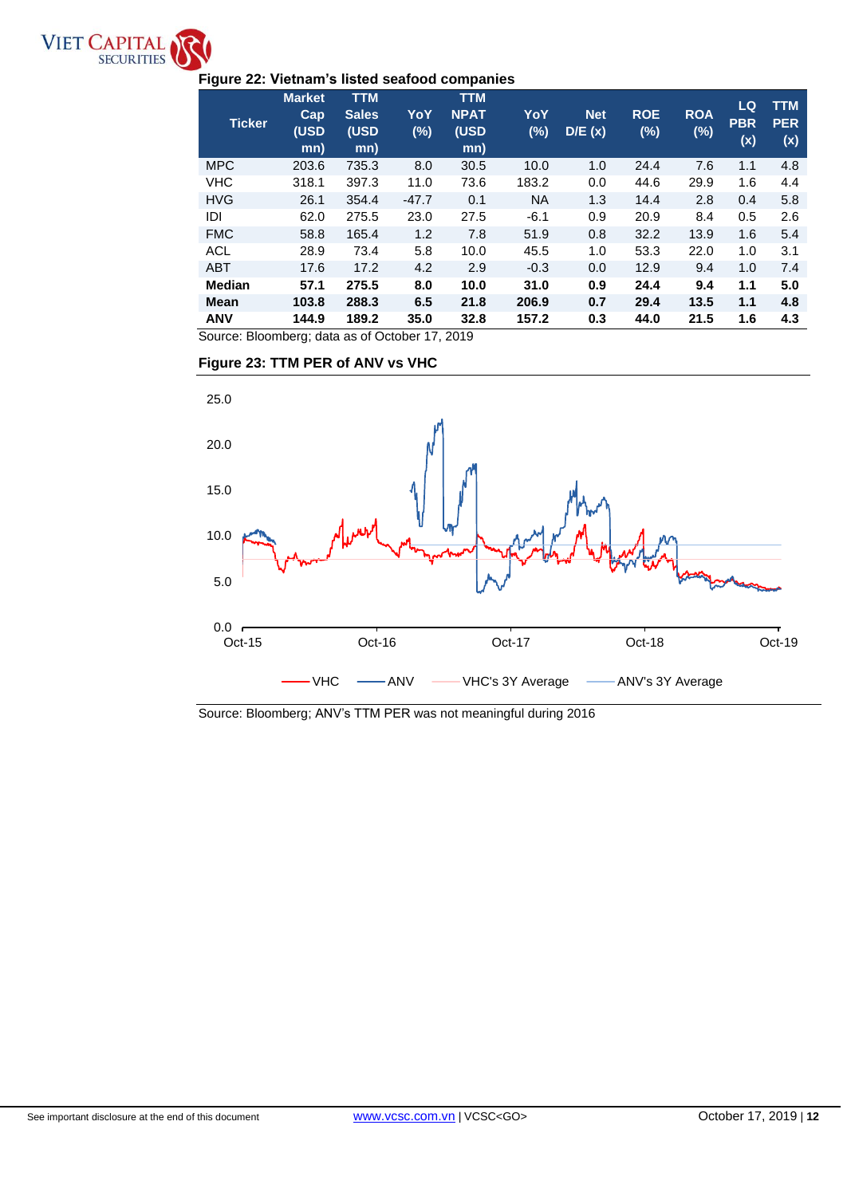

# **Figure 22: Vietnam's listed seafood companies**

| <b>Ticker</b> | <b>Market</b><br><b>Cap</b><br>(USD<br>mn) | <b>TTM</b><br><b>Sales</b><br>(USD<br>mn) | YoY<br>$(\%)$ | <b>TTM</b><br><b>NPAT</b><br>(USD<br>mn) | YoY<br>$(\%)$ | <b>Net</b><br>D/E(x) | <b>ROE</b><br>(%) | <b>ROA</b><br>$(\%)$ | LQ<br><b>PBR</b><br>(x) | <b>TTM</b><br><b>PER</b><br>(x) |
|---------------|--------------------------------------------|-------------------------------------------|---------------|------------------------------------------|---------------|----------------------|-------------------|----------------------|-------------------------|---------------------------------|
| <b>MPC</b>    | 203.6                                      | 735.3                                     | 8.0           | 30.5                                     | 10.0          | 1.0                  | 24.4              | 7.6                  | 1.1                     | 4.8                             |
| <b>VHC</b>    | 318.1                                      | 397.3                                     | 11.0          | 73.6                                     | 183.2         | 0.0                  | 44.6              | 29.9                 | 1.6                     | 4.4                             |
| <b>HVG</b>    | 26.1                                       | 354.4                                     | $-47.7$       | 0.1                                      | <b>NA</b>     | 1.3                  | 14.4              | 2.8                  | 0.4                     | 5.8                             |
| IDI           | 62.0                                       | 275.5                                     | 23.0          | 27.5                                     | $-6.1$        | 0.9                  | 20.9              | 8.4                  | 0.5                     | 2.6                             |
| <b>FMC</b>    | 58.8                                       | 165.4                                     | 1.2           | 7.8                                      | 51.9          | 0.8                  | 32.2              | 13.9                 | 1.6                     | 5.4                             |
| ACL           | 28.9                                       | 73.4                                      | 5.8           | 10.0                                     | 45.5          | 1.0                  | 53.3              | 22.0                 | 1.0                     | 3.1                             |
| <b>ABT</b>    | 17.6                                       | 17.2                                      | 4.2           | 2.9                                      | $-0.3$        | 0.0                  | 12.9              | 9.4                  | 1.0                     | 7.4                             |
| <b>Median</b> | 57.1                                       | 275.5                                     | 8.0           | 10.0                                     | 31.0          | 0.9                  | 24.4              | 9.4                  | 1.1                     | 5.0                             |
| <b>Mean</b>   | 103.8                                      | 288.3                                     | 6.5           | 21.8                                     | 206.9         | 0.7                  | 29.4              | 13.5                 | 1.1                     | 4.8                             |
| <b>ANV</b>    | 144.9                                      | 189.2                                     | 35.0          | 32.8                                     | 157.2         | 0.3                  | 44.0              | 21.5                 | 1.6                     | 4.3                             |

Source: Bloomberg; data as of October 17, 2019

# **Figure 23: TTM PER of ANV vs VHC**



Source: Bloomberg; ANV's TTM PER was not meaningful during 2016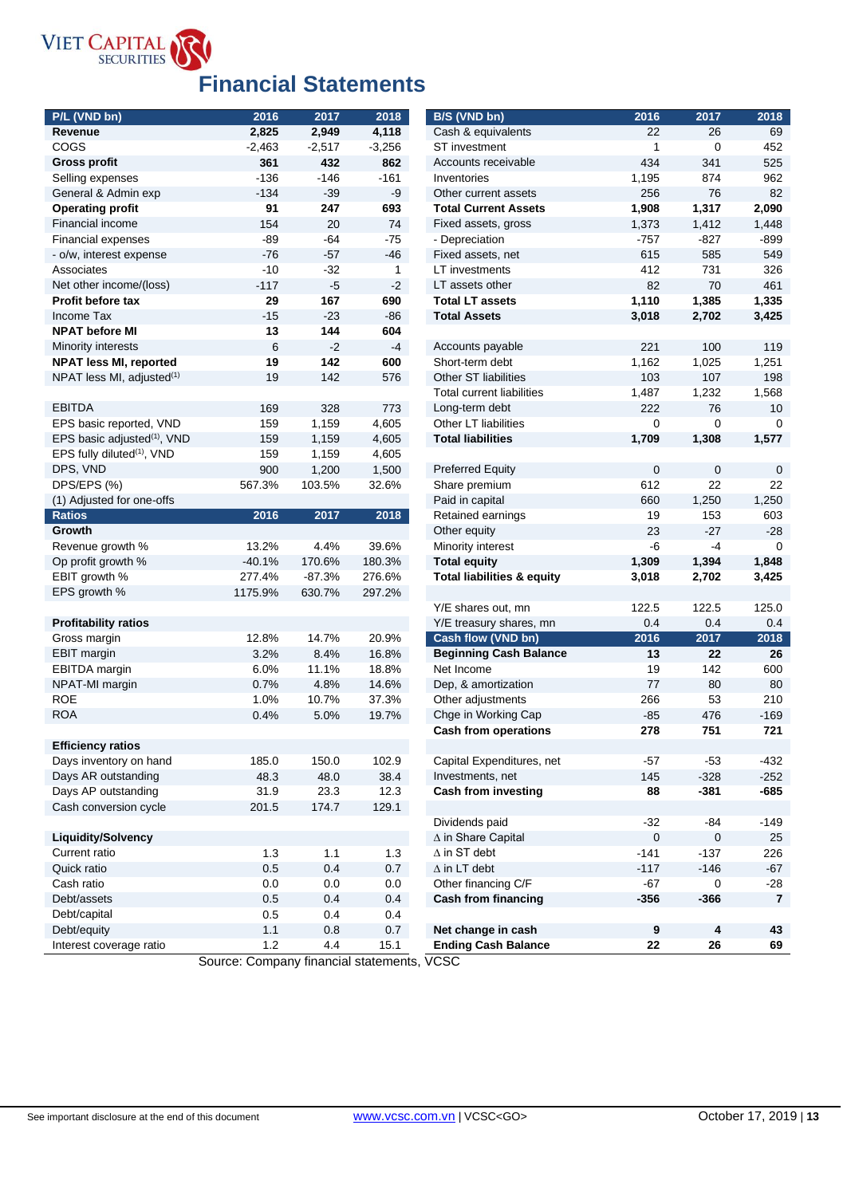

# **Financial Statements**

| P/L (VND bn)                            | 2016     | 2017     | 2018     | B/S (VND bn)                          | 2016         | 2017       | 2018           |
|-----------------------------------------|----------|----------|----------|---------------------------------------|--------------|------------|----------------|
| Revenue                                 | 2,825    | 2,949    | 4,118    | Cash & equivalents                    | 22           | 26         | 69             |
| COGS                                    | $-2,463$ | $-2,517$ | $-3,256$ | ST investment                         | 1            | 0          | 452            |
| <b>Gross profit</b>                     | 361      | 432      | 862      | Accounts receivable                   | 434          | 341        | 525            |
| Selling expenses                        | $-136$   | $-146$   | $-161$   | Inventories                           | 1,195        | 874        | 962            |
| General & Admin exp                     | $-134$   | $-39$    | $-9$     | Other current assets                  | 256          | 76         | 82             |
| <b>Operating profit</b>                 | 91       | 247      | 693      | <b>Total Current Assets</b>           | 1,908        | 1,317      | 2,090          |
| Financial income                        | 154      | 20       | 74       | Fixed assets, gross                   | 1,373        | 1,412      | 1,448          |
| <b>Financial expenses</b>               | -89      | -64      | -75      | - Depreciation                        | $-757$       | $-827$     | $-899$         |
| - o/w, interest expense                 | $-76$    | $-57$    | $-46$    | Fixed assets, net                     | 615          | 585        | 549            |
| Associates                              | $-10$    | $-32$    | 1        | LT investments                        | 412          | 731        | 326            |
| Net other income/(loss)                 | $-117$   | $-5$     | $-2$     | LT assets other                       | 82           | 70         | 461            |
| Profit before tax                       | 29       | 167      | 690      | <b>Total LT assets</b>                | 1,110        | 1,385      | 1,335          |
| Income Tax                              | $-15$    | $-23$    | $-86$    | <b>Total Assets</b>                   | 3,018        | 2,702      | 3,425          |
| <b>NPAT before MI</b>                   | 13       | 144      | 604      |                                       |              |            |                |
| <b>Minority interests</b>               | 6        | $-2$     | $-4$     | Accounts payable                      | 221          | 100        | 119            |
| <b>NPAT less MI, reported</b>           | 19       | 142      | 600      | Short-term debt                       | 1,162        | 1,025      | 1,251          |
| NPAT less MI, adjusted $(1)$            | 19       | 142      | 576      | Other ST liabilities                  | 103          | 107        | 198            |
|                                         |          |          |          | Total current liabilities             | 1,487        | 1,232      | 1,568          |
| <b>EBITDA</b>                           | 169      | 328      | 773      | Long-term debt                        | 222          | 76         | 10             |
| EPS basic reported, VND                 | 159      | 1,159    | 4,605    | Other LT liabilities                  | 0            | 0          | 0              |
| EPS basic adjusted <sup>(1)</sup> , VND | 159      | 1,159    | 4,605    | <b>Total liabilities</b>              | 1,709        | 1,308      | 1,577          |
| EPS fully diluted <sup>(1)</sup> , VND  | 159      | 1,159    | 4,605    |                                       |              |            |                |
| DPS, VND                                | 900      | 1,200    | 1,500    | <b>Preferred Equity</b>               | $\mathbf 0$  | 0          | $\mathbf 0$    |
| DPS/EPS (%)                             | 567.3%   | 103.5%   | 32.6%    | Share premium                         | 612          | 22         | 22             |
| (1) Adjusted for one-offs               |          |          |          | Paid in capital                       | 660          | 1,250      | 1,250          |
| <b>Ratios</b>                           | 2016     | 2017     | 2018     | Retained earnings                     | 19           | 153        | 603            |
| Growth                                  |          |          |          | Other equity                          | 23           | $-27$      | $-28$          |
| Revenue growth %                        | 13.2%    | 4.4%     | 39.6%    | Minority interest                     | -6           | -4         | 0              |
| Op profit growth %                      | $-40.1%$ | 170.6%   | 180.3%   | <b>Total equity</b>                   | 1,309        | 1,394      | 1,848          |
| EBIT growth %                           | 277.4%   | $-87.3%$ | 276.6%   | <b>Total liabilities &amp; equity</b> | 3,018        | 2,702      | 3,425          |
| EPS growth %                            | 1175.9%  | 630.7%   | 297.2%   |                                       |              |            |                |
|                                         |          |          |          | Y/E shares out, mn                    | 122.5        | 122.5      | 125.0          |
| <b>Profitability ratios</b>             |          |          |          | Y/E treasury shares, mn               | 0.4          | 0.4        | 0.4            |
| Gross margin                            | 12.8%    | 14.7%    | 20.9%    | Cash flow (VND bn)                    | 2016         | 2017       | 2018           |
| <b>EBIT</b> margin                      | 3.2%     | 8.4%     | 16.8%    | <b>Beginning Cash Balance</b>         | 13           | 22         | 26             |
| EBITDA margin                           | 6.0%     | 11.1%    | 18.8%    | Net Income                            | 19           | 142        | 600            |
| NPAT-MI margin                          | 0.7%     | 4.8%     | 14.6%    | Dep, & amortization                   | 77           | 80         | 80             |
| <b>ROE</b>                              | 1.0%     | 10.7%    | 37.3%    |                                       | 266          | 53         | 210            |
|                                         |          |          |          | Other adjustments                     |              |            |                |
| <b>ROA</b>                              | 0.4%     | 5.0%     | 19.7%    | Chge in Working Cap                   | $-85$<br>278 | 476<br>751 | $-169$<br>721  |
|                                         |          |          |          | <b>Cash from operations</b>           |              |            |                |
| <b>Efficiency ratios</b>                |          |          |          |                                       |              |            |                |
| Days inventory on hand                  | 185.0    | 150.0    | 102.9    | Capital Expenditures, net             | $-57$        | $-53$      | $-432$         |
| Days AR outstanding                     | 48.3     | 48.0     | 38.4     | Investments, net                      | 145          | $-328$     | $-252$         |
| Days AP outstanding                     | 31.9     | 23.3     | 12.3     | <b>Cash from investing</b>            | 88           | $-381$     | -685           |
| Cash conversion cycle                   | 201.5    | 174.7    | 129.1    |                                       |              |            |                |
|                                         |          |          |          | Dividends paid                        | $-32$        | $-84$      | $-149$         |
| <b>Liquidity/Solvency</b>               |          |          |          | ∆ in Share Capital                    | $\mathbf 0$  | 0          | 25             |
| Current ratio                           | 1.3      | 1.1      | $1.3$    | $\Delta$ in ST debt                   | $-141$       | $-137$     | 226            |
| Quick ratio                             | 0.5      | 0.4      | 0.7      | $\Delta$ in LT debt                   | $-117$       | $-146$     | $-67$          |
| Cash ratio                              | 0.0      | 0.0      | 0.0      | Other financing C/F                   | $-67$        | 0          | $-28$          |
| Debt/assets                             | 0.5      | 0.4      | 0.4      | <b>Cash from financing</b>            | $-356$       | $-366$     | $\overline{7}$ |
| Debt/capital                            | 0.5      | 0.4      | 0.4      |                                       |              |            |                |
| Debt/equity                             | 1.1      | $0.8\,$  | 0.7      | Net change in cash                    | $\pmb{9}$    | 4          | 43             |
| Interest coverage ratio                 | $1.2$    | 4.4      | 15.1     | <b>Ending Cash Balance</b>            | 22           | 26         | 69             |

Source: Company financial statements, VCSC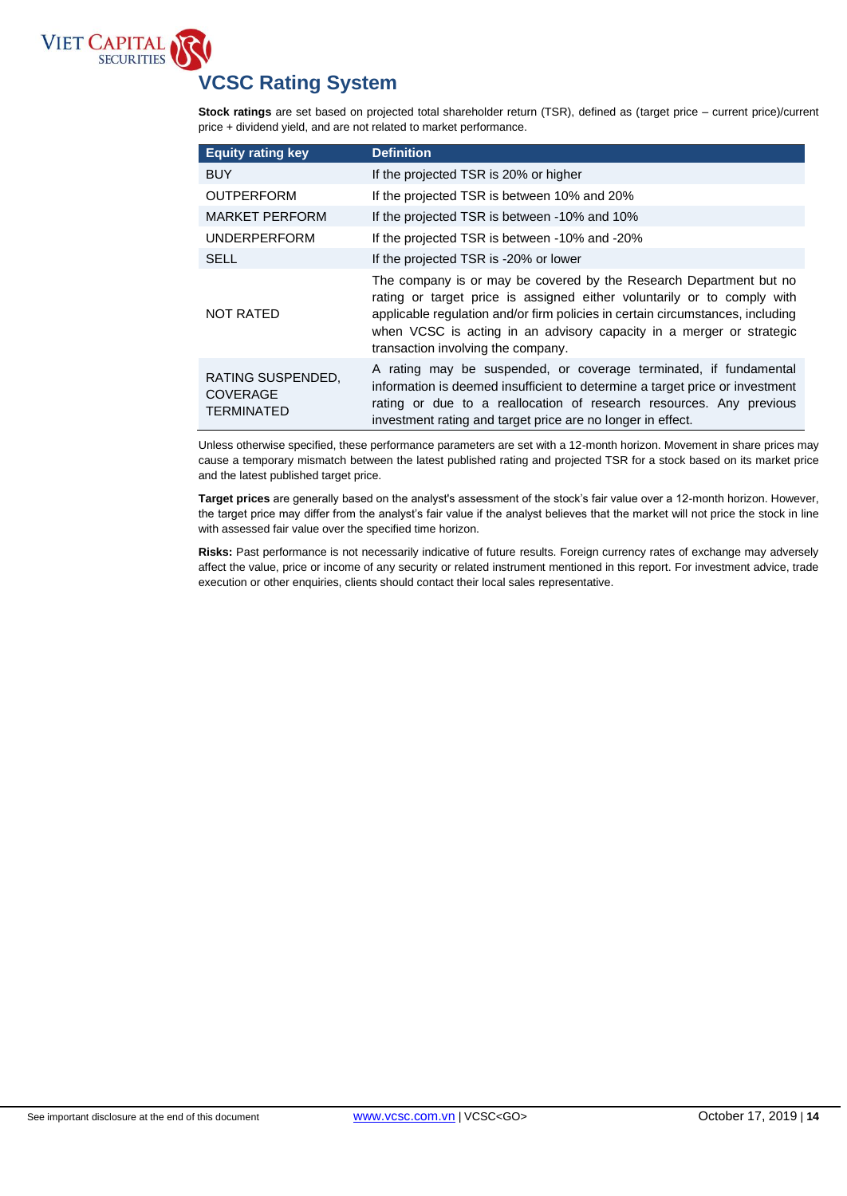

# **VCSC Rating System**

HOLD **Stock ratings** are set based on projected total shareholder return (TSR), defined as (target price – current price)/current price + dividend yield, and are not related to market performance.

| <b>Equity rating key</b>                                  | <b>Definition</b>                                                                                                                                                                                                                                                                                                                             |
|-----------------------------------------------------------|-----------------------------------------------------------------------------------------------------------------------------------------------------------------------------------------------------------------------------------------------------------------------------------------------------------------------------------------------|
| <b>BUY</b>                                                | If the projected TSR is 20% or higher                                                                                                                                                                                                                                                                                                         |
| <b>OUTPERFORM</b>                                         | If the projected TSR is between 10% and 20%                                                                                                                                                                                                                                                                                                   |
| <b>MARKET PERFORM</b>                                     | If the projected TSR is between -10% and 10%                                                                                                                                                                                                                                                                                                  |
| <b>UNDERPERFORM</b>                                       | If the projected TSR is between -10% and -20%                                                                                                                                                                                                                                                                                                 |
| <b>SELL</b>                                               | If the projected TSR is -20% or lower                                                                                                                                                                                                                                                                                                         |
| <b>NOT RATED</b>                                          | The company is or may be covered by the Research Department but no<br>rating or target price is assigned either voluntarily or to comply with<br>applicable regulation and/or firm policies in certain circumstances, including<br>when VCSC is acting in an advisory capacity in a merger or strategic<br>transaction involving the company. |
| RATING SUSPENDED,<br><b>COVERAGE</b><br><b>TERMINATED</b> | A rating may be suspended, or coverage terminated, if fundamental<br>information is deemed insufficient to determine a target price or investment<br>rating or due to a reallocation of research resources. Any previous<br>investment rating and target price are no longer in effect.                                                       |

Unless otherwise specified, these performance parameters are set with a 12-month horizon. Movement in share prices may cause a temporary mismatch between the latest published rating and projected TSR for a stock based on its market price and the latest published target price.

**Target prices** are generally based on the analyst's assessment of the stock's fair value over a 12-month horizon. However, the target price may differ from the analyst's fair value if the analyst believes that the market will not price the stock in line with assessed fair value over the specified time horizon.

**Risks:** Past performance is not necessarily indicative of future results. Foreign currency rates of exchange may adversely affect the value, price or income of any security or related instrument mentioned in this report. For investment advice, trade execution or other enquiries, clients should contact their local sales representative.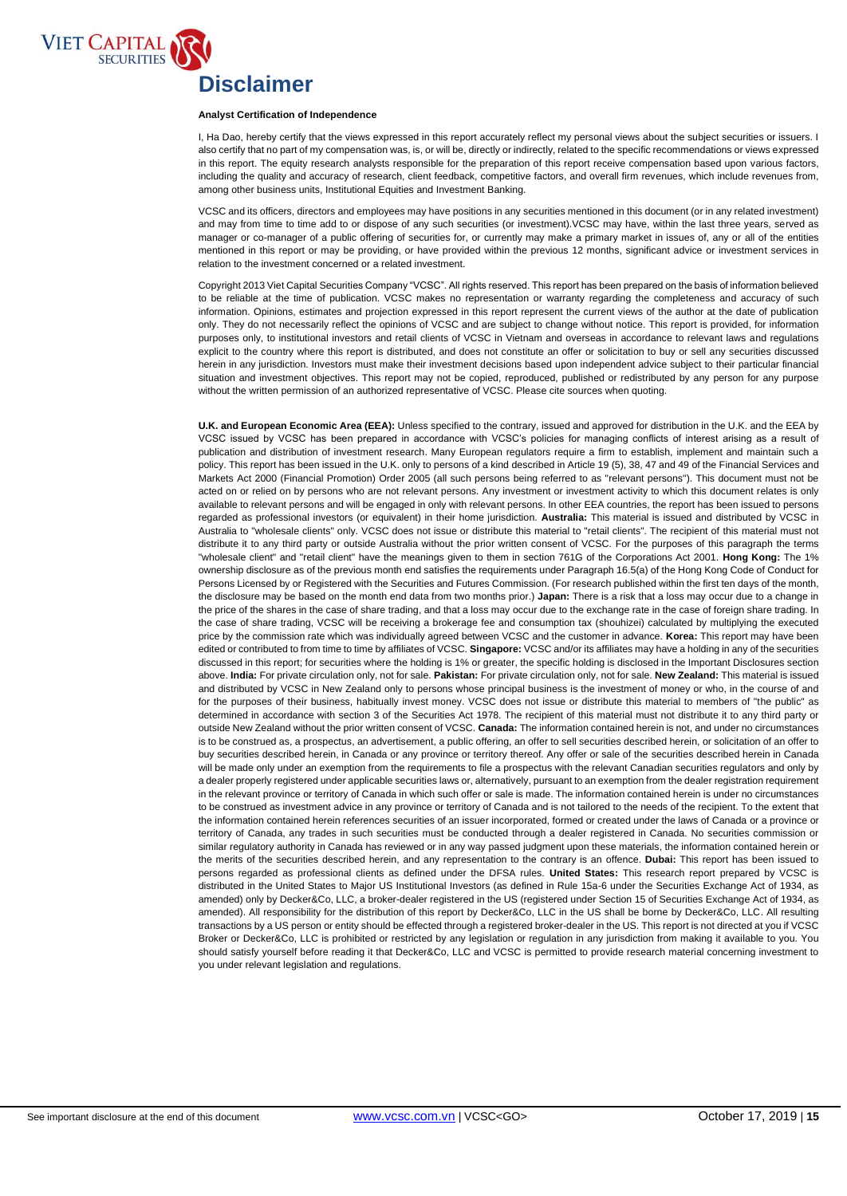

# **Disclaimer**

#### **Analyst Certification of Independence**

, indiget commedion of mapponashed<br>I, Ha Dao, hereby certify that the views expressed in this report accurately reflect my personal views about the subject securities or issuers. I also certify that no part of my compensation was, is, or will be, directly or indirectly, related to the specific recommendations or views expressed in this report. The equity research analysts responsible for the preparation of this report receive compensation based upon various factors, including the quality and accuracy of research, client feedback, competitive factors, and overall firm revenues, which include revenues from, among other business units, Institutional Equities and Investment Banking.

VCSC and its officers, directors and employees may have positions in any securities mentioned in this document (or in any related investment) and may from time to time add to or dispose of any such securities (or investment).VCSC may have, within the last three years, served as manager or co-manager of a public offering of securities for, or currently may make a primary market in issues of, any or all of the entities mentioned in this report or may be providing, or have provided within the previous 12 months, significant advice or investment services in relation to the investment concerned or a related investment.

Copyright 2013 Viet Capital Securities Company "VCSC". All rights reserved. This report has been prepared on the basis of information believed to be reliable at the time of publication. VCSC makes no representation or warranty regarding the completeness and accuracy of such information. Opinions, estimates and projection expressed in this report represent the current views of the author at the date of publication only. They do not necessarily reflect the opinions of VCSC and are subject to change without notice. This report is provided, for information purposes only, to institutional investors and retail clients of VCSC in Vietnam and overseas in accordance to relevant laws and regulations explicit to the country where this report is distributed, and does not constitute an offer or solicitation to buy or sell any securities discussed herein in any jurisdiction. Investors must make their investment decisions based upon independent advice subject to their particular financial situation and investment objectives. This report may not be copied, reproduced, published or redistributed by any person for any purpose without the written permission of an authorized representative of VCSC. Please cite sources when quoting.

**U.K. and European Economic Area (EEA):** Unless specified to the contrary, issued and approved for distribution in the U.K. and the EEA by VCSC issued by VCSC has been prepared in accordance with VCSC's policies for managing conflicts of interest arising as a result of publication and distribution of investment research. Many European regulators require a firm to establish, implement and maintain such a policy. This report has been issued in the U.K. only to persons of a kind described in Article 19 (5), 38, 47 and 49 of the Financial Services and Markets Act 2000 (Financial Promotion) Order 2005 (all such persons being referred to as "relevant persons"). This document must not be acted on or relied on by persons who are not relevant persons. Any investment or investment activity to which this document relates is only available to relevant persons and will be engaged in only with relevant persons. In other EEA countries, the report has been issued to persons regarded as professional investors (or equivalent) in their home jurisdiction. **Australia:** This material is issued and distributed by VCSC in Australia to "wholesale clients" only. VCSC does not issue or distribute this material to "retail clients". The recipient of this material must not distribute it to any third party or outside Australia without the prior written consent of VCSC. For the purposes of this paragraph the terms "wholesale client" and "retail client" have the meanings given to them in section 761G of the Corporations Act 2001. **Hong Kong:** The 1% ownership disclosure as of the previous month end satisfies the requirements under Paragraph 16.5(a) of the Hong Kong Code of Conduct for Persons Licensed by or Registered with the Securities and Futures Commission. (For research published within the first ten days of the month, the disclosure may be based on the month end data from two months prior.) **Japan:** There is a risk that a loss may occur due to a change in the price of the shares in the case of share trading, and that a loss may occur due to the exchange rate in the case of foreign share trading. In the case of share trading, VCSC will be receiving a brokerage fee and consumption tax (shouhizei) calculated by multiplying the executed price by the commission rate which was individually agreed between VCSC and the customer in advance. **Korea:** This report may have been edited or contributed to from time to time by affiliates of VCSC. **Singapore:** VCSC and/or its affiliates may have a holding in any of the securities discussed in this report; for securities where the holding is 1% or greater, the specific holding is disclosed in the Important Disclosures section above. **India:** For private circulation only, not for sale. **Pakistan:** For private circulation only, not for sale. **New Zealand:** This material is issued and distributed by VCSC in New Zealand only to persons whose principal business is the investment of money or who, in the course of and for the purposes of their business, habitually invest money. VCSC does not issue or distribute this material to members of "the public" as determined in accordance with section 3 of the Securities Act 1978. The recipient of this material must not distribute it to any third party or outside New Zealand without the prior written consent of VCSC. **Canada:** The information contained herein is not, and under no circumstances is to be construed as, a prospectus, an advertisement, a public offering, an offer to sell securities described herein, or solicitation of an offer to buy securities described herein, in Canada or any province or territory thereof. Any offer or sale of the securities described herein in Canada will be made only under an exemption from the requirements to file a prospectus with the relevant Canadian securities regulators and only by a dealer properly registered under applicable securities laws or, alternatively, pursuant to an exemption from the dealer registration requirement in the relevant province or territory of Canada in which such offer or sale is made. The information contained herein is under no circumstances to be construed as investment advice in any province or territory of Canada and is not tailored to the needs of the recipient. To the extent that the information contained herein references securities of an issuer incorporated, formed or created under the laws of Canada or a province or territory of Canada, any trades in such securities must be conducted through a dealer registered in Canada. No securities commission or similar regulatory authority in Canada has reviewed or in any way passed judgment upon these materials, the information contained herein or the merits of the securities described herein, and any representation to the contrary is an offence. **Dubai:** This report has been issued to persons regarded as professional clients as defined under the DFSA rules. **United States:** This research report prepared by VCSC is distributed in the United States to Major US Institutional Investors (as defined in Rule 15a-6 under the Securities Exchange Act of 1934, as amended) only by Decker&Co, LLC, a broker-dealer registered in the US (registered under Section 15 of Securities Exchange Act of 1934, as amended). All responsibility for the distribution of this report by Decker&Co, LLC in the US shall be borne by Decker&Co, LLC. All resulting transactions by a US person or entity should be effected through a registered broker-dealer in the US. This report is not directed at you if VCSC Broker or Decker&Co, LLC is prohibited or restricted by any legislation or regulation in any jurisdiction from making it available to you. You should satisfy yourself before reading it that Decker&Co, LLC and VCSC is permitted to provide research material concerning investment to you under relevant legislation and regulations.